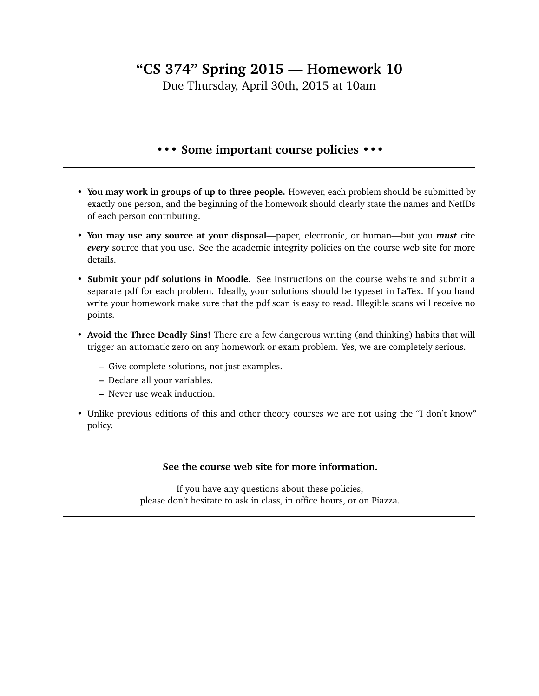## **"CS 374" Spring 2015 — Homework 10**

Due Thursday, April 30th, 2015 at 10am

## **••• Some important course policies •••**

- **You may work in groups of up to three people.** However, each problem should be submitted by exactly one person, and the beginning of the homework should clearly state the names and NetIDs of each person contributing.
- **You may use any source at your disposal**—paper, electronic, or human—but you *must* cite *every* source that you use. See the academic integrity policies on the course web site for more details.
- **Submit your pdf solutions in Moodle.** See instructions on the course website and submit a separate pdf for each problem. Ideally, your solutions should be typeset in LaTex. If you hand write your homework make sure that the pdf scan is easy to read. Illegible scans will receive no points.
- **Avoid the Three Deadly Sins!** There are a few dangerous writing (and thinking) habits that will trigger an automatic zero on any homework or exam problem. Yes, we are completely serious.
	- **–** Give complete solutions, not just examples.
	- **–** Declare all your variables.
	- **–** Never use weak induction.
- Unlike previous editions of this and other theory courses we are not using the "I don't know" policy.

## **See the course web site for more information.**

If you have any questions about these policies, please don't hesitate to ask in class, in office hours, or on Piazza.